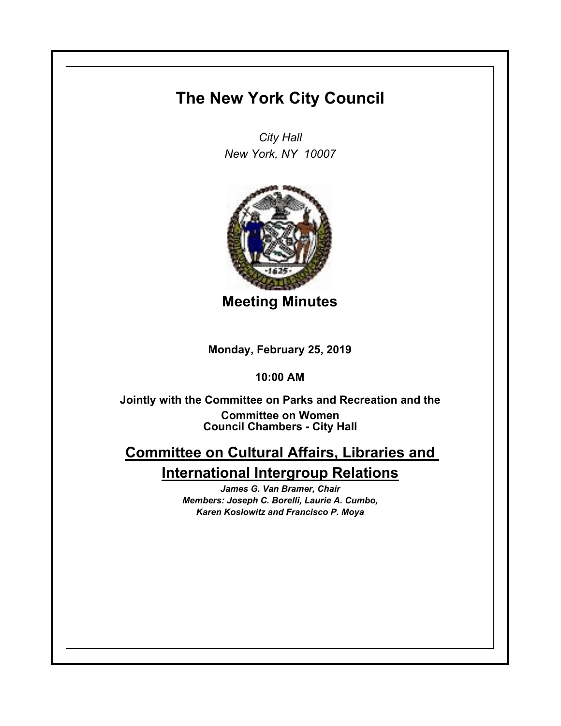## **The New York City Council**

*City Hall New York, NY 10007*



**Meeting Minutes**

**Monday, February 25, 2019**

**10:00 AM**

**Council Chambers - City Hall Jointly with the Committee on Parks and Recreation and the Committee on Women**

## **Committee on Cultural Affairs, Libraries and International Intergroup Relations**

*James G. Van Bramer, Chair Members: Joseph C. Borelli, Laurie A. Cumbo, Karen Koslowitz and Francisco P. Moya*